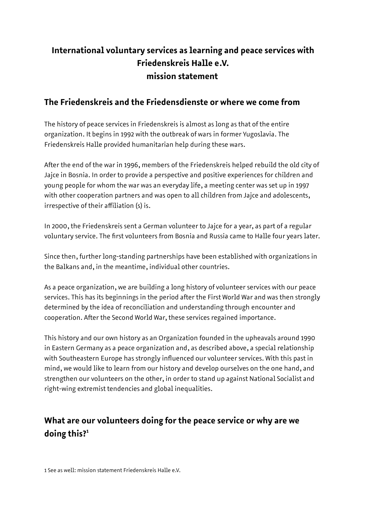## **International voluntary services as learning and peace services with Friedenskreis Halle e.V. mission statement**

## **The Friedenskreis and the Friedensdienste or where we come from**

The history of peace services in Friedenskreis is almost as long as that of the entire organization. It begins in 1992 with the outbreak of wars in former Yugoslavia. The Friedenskreis Halle provided humanitarian help during these wars.

After the end of the war in 1996, members of the Friedenskreis helped rebuild the old city of Jajce in Bosnia. In order to provide a perspective and positive experiences for children and young people for whom the war was an everyday life, a meeting center was set up in 1997 with other cooperation partners and was open to all children from Jajce and adolescents, irrespective of their affiliation (s) is.

In 2000, the Friedenskreis sent a German volunteer to Jajce for a year, as part of a regular voluntary service. The first volunteers from Bosnia and Russia came to Halle four years later.

Since then, further long-standing partnerships have been established with organizations in the Balkans and, in the meantime, individual other countries.

As a peace organization, we are building a long history of volunteer services with our peace services. This has its beginnings in the period after the First World War and was then strongly determined by the idea of reconciliation and understanding through encounter and cooperation. After the Second World War, these services regained importance.

This history and our own history as an Organization founded in the upheavals around 1990 in Eastern Germany as a peace organization and, as described above, a special relationship with Southeastern Europe has strongly influenced our volunteer services. With this past in mind, we would like to learn from our history and develop ourselves on the one hand, and strengthen our volunteers on the other, in order to stand up against National Socialist and right-wing extremist tendencies and global inequalities.

# <span id="page-0-0"></span>**What are our volunteers doing for the peace service or why are we doing this?[1](#page-0-0)**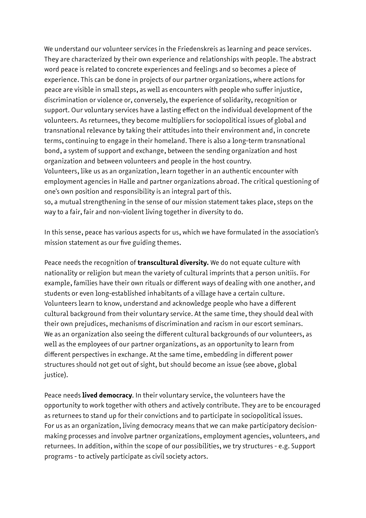We understand our volunteer services in the Friedenskreis as learning and peace services. They are characterized by their own experience and relationships with people. The abstract word peace is related to concrete experiences and feelings and so becomes a piece of experience. This can be done in projects of our partner organizations, where actions for peace are visible in small steps, as well as encounters with people who suffer injustice, discrimination or violence or, conversely, the experience of solidarity, recognition or support. Our voluntary services have a lasting effect on the individual development of the volunteers. As returnees, they become multipliers for sociopolitical issues of global and transnational relevance by taking their attitudes into their environment and, in concrete terms, continuing to engage in their homeland. There is also a long-term transnational bond, a system of support and exchange, between the sending organization and host organization and between volunteers and people in the host country. Volunteers, like us as an organization, learn together in an authentic encounter with

employment agencies in Halle and partner organizations abroad. The critical questioning of one's own position and responsibility is an integral part of this.

so, a mutual strengthening in the sense of our mission statement takes place, steps on the way to a fair, fair and non-violent living together in diversity to do.

In this sense, peace has various aspects for us, which we have formulated in the association's mission statement as our five guiding themes.

Peace needs the recognition of **transcultural diversity.** We do not equate culture with nationality or religion but mean the variety of cultural imprints that a person unitiis. For example, families have their own rituals or different ways of dealing with one another, and students or even long-established inhabitants of a village have a certain culture. Volunteers learn to know, understand and acknowledge people who have a different cultural background from their voluntary service. At the same time, they should deal with their own prejudices, mechanisms of discrimination and racism in our escort seminars. We as an organization also seeing the different cultural backgrounds of our volunteers, as well as the employees of our partner organizations, as an opportunity to learn from different perspectives in exchange. At the same time, embedding in different power structures should not get out of sight, but should become an issue (see above, global justice).

Peace needs **lived democracy**. In their voluntary service, the volunteers have the opportunity to work together with others and actively contribute. They are to be encouraged as returnees to stand up for their convictions and to participate in sociopolitical issues. For us as an organization, living democracy means that we can make participatory decisionmaking processes and involve partner organizations, employment agencies, volunteers, and returnees. In addition, within the scope of our possibilities, we try structures - e.g. Support programs - to actively participate as civil society actors.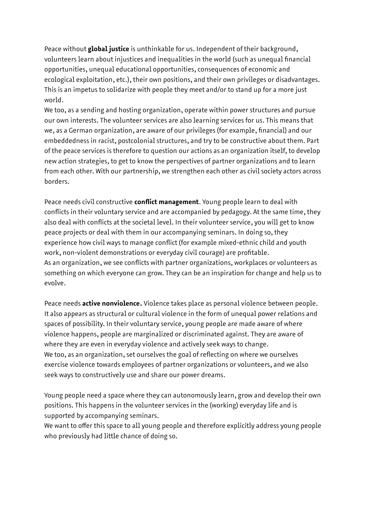Peace without **global justice** is unthinkable for us. Independent of their background, volunteers learn about injustices and inequalities in the world (such as unequal financial opportunities, unequal educational opportunities, consequences of economic and ecological exploitation, etc.), their own positions, and their own privileges or disadvantages. This is an impetus to solidarize with people they meet and/or to stand up for a more just world.

We too, as a sending and hosting organization, operate within power structures and pursue our own interests. The volunteer services are also learning services for us. This means that we, as a German organization, are aware of our privileges (for example, financial) and our embeddedness in racist, postcolonial structures, and try to be constructive about them. Part of the peace services is therefore to question our actions as an organization itself, to develop new action strategies, to get to know the perspectives of partner organizations and to learn from each other. With our partnership, we strengthen each other as civil society actors across borders.

Peace needs civil constructive **conflict management**. Young people learn to deal with conflicts in their voluntary service and are accompanied by pedagogy. At the same time, they also deal with conflicts at the societal level. In their volunteer service, you will get to know peace projects or deal with them in our accompanying seminars. In doing so, they experience how civil ways to manage conflict (for example mixed-ethnic child and youth work, non-violent demonstrations or everyday civil courage) are profitable. As an organization, we see conflicts with partner organizations, workplaces or volunteers as something on which everyone can grow. They can be an inspiration for change and help us to evolve.

Peace needs **active nonviolence.** Violence takes place as personal violence between people. It also appears as structural or cultural violence in the form of unequal power relations and spaces of possibility. In their voluntary service, young people are made aware of where violence happens, people are marginalized or discriminated against. They are aware of where they are even in everyday violence and actively seek ways to change. We too, as an organization, set ourselves the goal of reflecting on where we ourselves exercise violence towards employees of partner organizations or volunteers, and we also seek ways to constructively use and share our power dreams.

Young people need a space where they can autonomously learn, grow and develop their own positions. This happens in the volunteer services in the (working) everyday life and is supported by accompanying seminars.

We want to offer this space to all young people and therefore explicitly address young people who previously had little chance of doing so.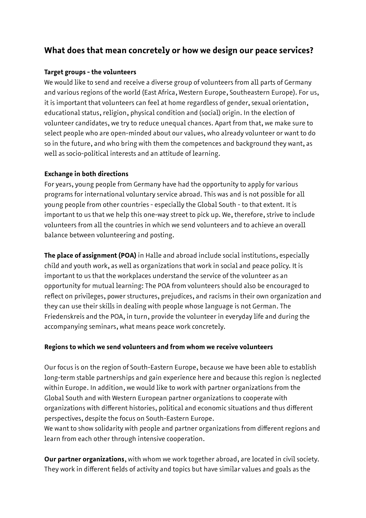### **What does that mean concretely or how we design our peace services?**

#### **Target groups - the volunteers**

We would like to send and receive a diverse group of volunteers from all parts of Germany and various regions of the world (East Africa, Western Europe, Southeastern Europe). For us, it is important that volunteers can feel at home regardless of gender, sexual orientation, educational status, religion, physical condition and (social) origin. In the election of volunteer candidates, we try to reduce unequal chances. Apart from that, we make sure to select people who are open-minded about our values, who already volunteer or want to do so in the future, and who bring with them the competences and background they want, as well as socio-political interests and an attitude of learning.

#### **Exchange in both directions**

For years, young people from Germany have had the opportunity to apply for various programs for international voluntary service abroad. This was and is not possible for all young people from other countries - especially the Global South - to that extent. It is important to us that we help this one-way street to pick up. We, therefore, strive to include volunteers from all the countries in which we send volunteers and to achieve an overall balance between volunteering and posting.

**The place of assignment (POA)** in Halle and abroad include social institutions, especially child and youth work, as well as organizations that work in social and peace policy. It is important to us that the workplaces understand the service of the volunteer as an opportunity for mutual learning: The POA from volunteers should also be encouraged to reflect on privileges, power structures, prejudices, and racisms in their own organization and they can use their skills in dealing with people whose language is not German. The Friedenskreis and the POA, in turn, provide the volunteer in everyday life and during the accompanying seminars, what means peace work concretely.

#### **Regions to which we send volunteers and from whom we receive volunteers**

Our focus is on the region of South-Eastern Europe, because we have been able to establish long-term stable partnerships and gain experience here and because this region is neglected within Europe. In addition, we would like to work with partner organizations from the Global South and with Western European partner organizations to cooperate with organizations with different histories, political and economic situations and thus different perspectives, despite the focus on South-Eastern Europe.

We want to show solidarity with people and partner organizations from different regions and learn from each other through intensive cooperation.

**Our partner organizations**, with whom we work together abroad, are located in civil society. They work in different fields of activity and topics but have similar values and goals as the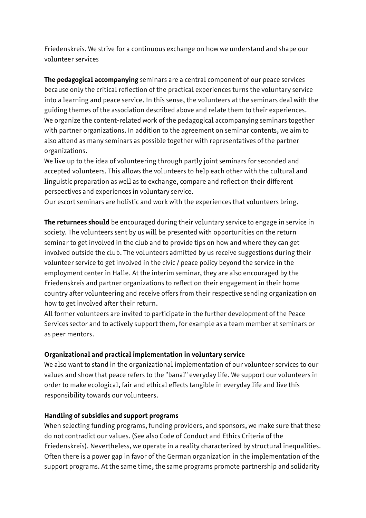Friedenskreis. We strive for a continuous exchange on how we understand and shape our volunteer services

**The pedagogical accompanying** seminars are a central component of our peace services because only the critical reflection of the practical experiences turns the voluntary service into a learning and peace service. In this sense, the volunteers at the seminars deal with the guiding themes of the association described above and relate them to their experiences. We organize the content-related work of the pedagogical accompanying seminars together with partner organizations. In addition to the agreement on seminar contents, we aim to also attend as many seminars as possible together with representatives of the partner organizations.

We live up to the idea of volunteering through partly joint seminars for seconded and accepted volunteers. This allows the volunteers to help each other with the cultural and linguistic preparation as well as to exchange, compare and reflect on their different perspectives and experiences in voluntary service.

Our escort seminars are holistic and work with the experiences that volunteers bring.

**The returnees should** be encouraged during their voluntary service to engage in service in society. The volunteers sent by us will be presented with opportunities on the return seminar to get involved in the club and to provide tips on how and where they can get involved outside the club. The volunteers admitted by us receive suggestions during their volunteer service to get involved in the civic / peace policy beyond the service in the employment center in Halle. At the interim seminar, they are also encouraged by the Friedenskreis and partner organizations to reflect on their engagement in their home country after volunteering and receive offers from their respective sending organization on how to get involved after their return.

All former volunteers are invited to participate in the further development of the Peace Services sector and to actively support them, for example as a team member at seminars or as peer mentors.

#### **Organizational and practical implementation in voluntary service**

We also want to stand in the organizational implementation of our volunteer services to our values and show that peace refers to the "banal" everyday life. We support our volunteers in order to make ecological, fair and ethical effects tangible in everyday life and live this responsibility towards our volunteers.

#### **Handling of subsidies and support programs**

When selecting funding programs, funding providers, and sponsors, we make sure that these do not contradict our values. (See also Code of Conduct and Ethics Criteria of the Friedenskreis). Nevertheless, we operate in a reality characterized by structural inequalities. Often there is a power gap in favor of the German organization in the implementation of the support programs. At the same time, the same programs promote partnership and solidarity